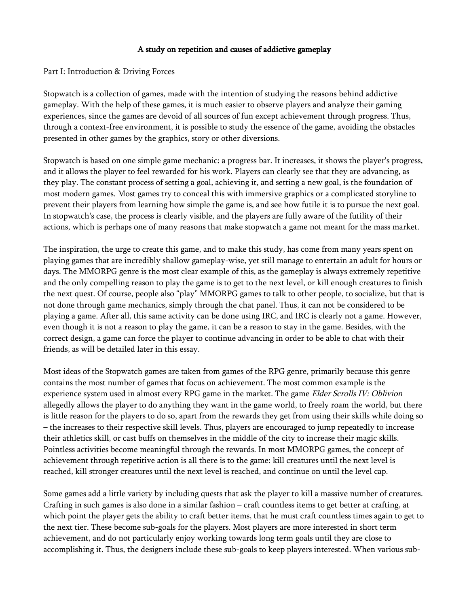## A study on repetition and causes of addictive gameplay

#### Part I: Introduction & Driving Forces

Stopwatch is a collection of games, made with the intention of studying the reasons behind addictive gameplay. With the help of these games, it is much easier to observe players and analyze their gaming experiences, since the games are devoid of all sources of fun except achievement through progress. Thus, through a context-free environment, it is possible to study the essence of the game, avoiding the obstacles presented in other games by the graphics, story or other diversions.

Stopwatch is based on one simple game mechanic: a progress bar. It increases, it shows the player's progress, and it allows the player to feel rewarded for his work. Players can clearly see that they are advancing, as they play. The constant process of setting a goal, achieving it, and setting a new goal, is the foundation of most modern games. Most games try to conceal this with immersive graphics or a complicated storyline to prevent their players from learning how simple the game is, and see how futile it is to pursue the next goal. In stopwatch's case, the process is clearly visible, and the players are fully aware of the futility of their actions, which is perhaps one of many reasons that make stopwatch a game not meant for the mass market.

The inspiration, the urge to create this game, and to make this study, has come from many years spent on playing games that are incredibly shallow gameplay-wise, yet still manage to entertain an adult for hours or days. The MMORPG genre is the most clear example of this, as the gameplay is always extremely repetitive and the only compelling reason to play the game is to get to the next level, or kill enough creatures to finish the next quest. Of course, people also "play" MMORPG games to talk to other people, to socialize, but that is not done through game mechanics, simply through the chat panel. Thus, it can not be considered to be playing a game. After all, this same activity can be done using IRC, and IRC is clearly not a game. However, even though it is not a reason to play the game, it can be a reason to stay in the game. Besides, with the correct design, a game can force the player to continue advancing in order to be able to chat with their friends, as will be detailed later in this essay.

Most ideas of the Stopwatch games are taken from games of the RPG genre, primarily because this genre contains the most number of games that focus on achievement. The most common example is the experience system used in almost every RPG game in the market. The game Elder Scrolls IV: Oblivion allegedly allows the player to do anything they want in the game world, to freely roam the world, but there is little reason for the players to do so, apart from the rewards they get from using their skills while doing so – the increases to their respective skill levels. Thus, players are encouraged to jump repeatedly to increase their athletics skill, or cast buffs on themselves in the middle of the city to increase their magic skills. Pointless activities become meaningful through the rewards. In most MMORPG games, the concept of achievement through repetitive action is all there is to the game: kill creatures until the next level is reached, kill stronger creatures until the next level is reached, and continue on until the level cap.

Some games add a little variety by including quests that ask the player to kill a massive number of creatures. Crafting in such games is also done in a similar fashion – craft countless items to get better at crafting, at which point the player gets the ability to craft better items, that he must craft countless times again to get to the next tier. These become sub-goals for the players. Most players are more interested in short term achievement, and do not particularly enjoy working towards long term goals until they are close to accomplishing it. Thus, the designers include these sub-goals to keep players interested. When various sub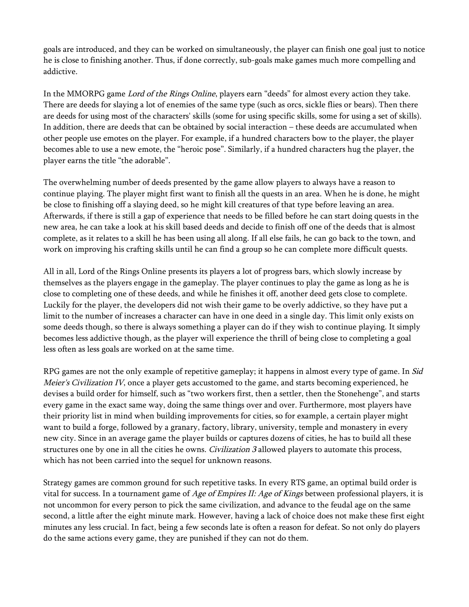goals are introduced, and they can be worked on simultaneously, the player can finish one goal just to notice he is close to finishing another. Thus, if done correctly, sub-goals make games much more compelling and addictive.

In the MMORPG game Lord of the Rings Online, players earn "deeds" for almost every action they take. There are deeds for slaying a lot of enemies of the same type (such as orcs, sickle flies or bears). Then there are deeds for using most of the characters' skills (some for using specific skills, some for using a set of skills). In addition, there are deeds that can be obtained by social interaction – these deeds are accumulated when other people use emotes on the player. For example, if a hundred characters bow to the player, the player becomes able to use a new emote, the "heroic pose". Similarly, if a hundred characters hug the player, the player earns the title "the adorable".

The overwhelming number of deeds presented by the game allow players to always have a reason to continue playing. The player might first want to finish all the quests in an area. When he is done, he might be close to finishing off a slaying deed, so he might kill creatures of that type before leaving an area. Afterwards, if there is still a gap of experience that needs to be filled before he can start doing quests in the new area, he can take a look at his skill based deeds and decide to finish off one of the deeds that is almost complete, as it relates to a skill he has been using all along. If all else fails, he can go back to the town, and work on improving his crafting skills until he can find a group so he can complete more difficult quests.

All in all, Lord of the Rings Online presents its players a lot of progress bars, which slowly increase by themselves as the players engage in the gameplay. The player continues to play the game as long as he is close to completing one of these deeds, and while he finishes it off, another deed gets close to complete. Luckily for the player, the developers did not wish their game to be overly addictive, so they have put a limit to the number of increases a character can have in one deed in a single day. This limit only exists on some deeds though, so there is always something a player can do if they wish to continue playing. It simply becomes less addictive though, as the player will experience the thrill of being close to completing a goal less often as less goals are worked on at the same time.

RPG games are not the only example of repetitive gameplay; it happens in almost every type of game. In *Sid Meier's Civilization IV*, once a player gets accustomed to the game, and starts becoming experienced, he devises a build order for himself, such as "two workers first, then a settler, then the Stonehenge", and starts every game in the exact same way, doing the same things over and over. Furthermore, most players have their priority list in mind when building improvements for cities, so for example, a certain player might want to build a forge, followed by a granary, factory, library, university, temple and monastery in every new city. Since in an average game the player builds or captures dozens of cities, he has to build all these structures one by one in all the cities he owns. *Civilization 3* allowed players to automate this process, which has not been carried into the sequel for unknown reasons.

Strategy games are common ground for such repetitive tasks. In every RTS game, an optimal build order is vital for success. In a tournament game of Age of Empires II: Age of Kings between professional players, it is not uncommon for every person to pick the same civilization, and advance to the feudal age on the same second, a little after the eight minute mark. However, having a lack of choice does not make these first eight minutes any less crucial. In fact, being a few seconds late is often a reason for defeat. So not only do players do the same actions every game, they are punished if they can not do them.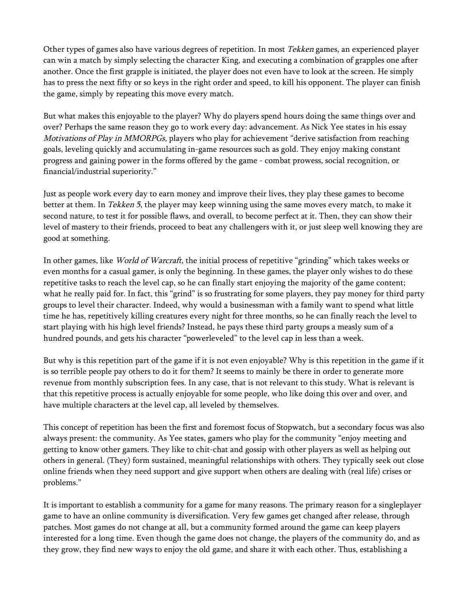Other types of games also have various degrees of repetition. In most Tekken games, an experienced player can win a match by simply selecting the character King, and executing a combination of grapples one after another. Once the first grapple is initiated, the player does not even have to look at the screen. He simply has to press the next fifty or so keys in the right order and speed, to kill his opponent. The player can finish the game, simply by repeating this move every match.

But what makes this enjoyable to the player? Why do players spend hours doing the same things over and over? Perhaps the same reason they go to work every day: advancement. As Nick Yee states in his essay Motivations of Play in MMORPGs, players who play for achievement "derive satisfaction from reaching goals, leveling quickly and accumulating in-game resources such as gold. They enjoy making constant progress and gaining power in the forms offered by the game - combat prowess, social recognition, or financial/industrial superiority."

Just as people work every day to earn money and improve their lives, they play these games to become better at them. In Tekken 5, the player may keep winning using the same moves every match, to make it second nature, to test it for possible flaws, and overall, to become perfect at it. Then, they can show their level of mastery to their friends, proceed to beat any challengers with it, or just sleep well knowing they are good at something.

In other games, like World of Warcraft, the initial process of repetitive "grinding" which takes weeks or even months for a casual gamer, is only the beginning. In these games, the player only wishes to do these repetitive tasks to reach the level cap, so he can finally start enjoying the majority of the game content; what he really paid for. In fact, this "grind" is so frustrating for some players, they pay money for third party groups to level their character. Indeed, why would a businessman with a family want to spend what little time he has, repetitively killing creatures every night for three months, so he can finally reach the level to start playing with his high level friends? Instead, he pays these third party groups a measly sum of a hundred pounds, and gets his character "powerleveled" to the level cap in less than a week.

But why is this repetition part of the game if it is not even enjoyable? Why is this repetition in the game if it is so terrible people pay others to do it for them? It seems to mainly be there in order to generate more revenue from monthly subscription fees. In any case, that is not relevant to this study. What is relevant is that this repetitive process is actually enjoyable for some people, who like doing this over and over, and have multiple characters at the level cap, all leveled by themselves.

This concept of repetition has been the first and foremost focus of Stopwatch, but a secondary focus was also always present: the community. As Yee states, gamers who play for the community "enjoy meeting and getting to know other gamers. They like to chit-chat and gossip with other players as well as helping out others in general. (They) form sustained, meaningful relationships with others. They typically seek out close online friends when they need support and give support when others are dealing with (real life) crises or problems."

It is important to establish a community for a game for many reasons. The primary reason for a singleplayer game to have an online community is diversification. Very few games get changed after release, through patches. Most games do not change at all, but a community formed around the game can keep players interested for a long time. Even though the game does not change, the players of the community do, and as they grow, they find new ways to enjoy the old game, and share it with each other. Thus, establishing a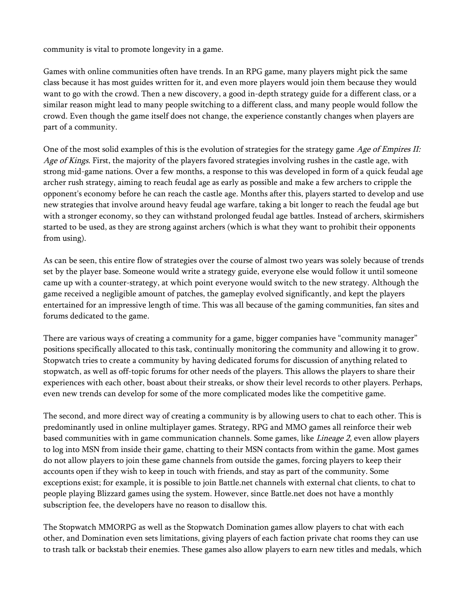community is vital to promote longevity in a game.

Games with online communities often have trends. In an RPG game, many players might pick the same class because it has most guides written for it, and even more players would join them because they would want to go with the crowd. Then a new discovery, a good in-depth strategy guide for a different class, or a similar reason might lead to many people switching to a different class, and many people would follow the crowd. Even though the game itself does not change, the experience constantly changes when players are part of a community.

One of the most solid examples of this is the evolution of strategies for the strategy game Age of Empires II: Age of Kings. First, the majority of the players favored strategies involving rushes in the castle age, with strong mid-game nations. Over a few months, a response to this was developed in form of a quick feudal age archer rush strategy, aiming to reach feudal age as early as possible and make a few archers to cripple the opponent's economy before he can reach the castle age. Months after this, players started to develop and use new strategies that involve around heavy feudal age warfare, taking a bit longer to reach the feudal age but with a stronger economy, so they can withstand prolonged feudal age battles. Instead of archers, skirmishers started to be used, as they are strong against archers (which is what they want to prohibit their opponents from using).

As can be seen, this entire flow of strategies over the course of almost two years was solely because of trends set by the player base. Someone would write a strategy guide, everyone else would follow it until someone came up with a counter-strategy, at which point everyone would switch to the new strategy. Although the game received a negligible amount of patches, the gameplay evolved significantly, and kept the players entertained for an impressive length of time. This was all because of the gaming communities, fan sites and forums dedicated to the game.

There are various ways of creating a community for a game, bigger companies have "community manager" positions specifically allocated to this task, continually monitoring the community and allowing it to grow. Stopwatch tries to create a community by having dedicated forums for discussion of anything related to stopwatch, as well as off-topic forums for other needs of the players. This allows the players to share their experiences with each other, boast about their streaks, or show their level records to other players. Perhaps, even new trends can develop for some of the more complicated modes like the competitive game.

The second, and more direct way of creating a community is by allowing users to chat to each other. This is predominantly used in online multiplayer games. Strategy, RPG and MMO games all reinforce their web based communities with in game communication channels. Some games, like Lineage 2, even allow players to log into MSN from inside their game, chatting to their MSN contacts from within the game. Most games do not allow players to join these game channels from outside the games, forcing players to keep their accounts open if they wish to keep in touch with friends, and stay as part of the community. Some exceptions exist; for example, it is possible to join Battle.net channels with external chat clients, to chat to people playing Blizzard games using the system. However, since Battle.net does not have a monthly subscription fee, the developers have no reason to disallow this.

The Stopwatch MMORPG as well as the Stopwatch Domination games allow players to chat with each other, and Domination even sets limitations, giving players of each faction private chat rooms they can use to trash talk or backstab their enemies. These games also allow players to earn new titles and medals, which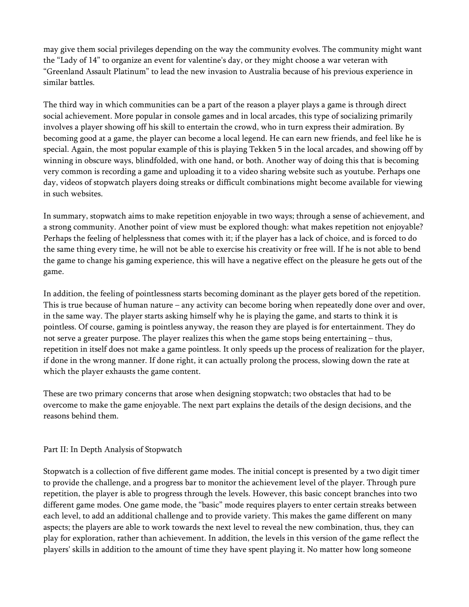may give them social privileges depending on the way the community evolves. The community might want the "Lady of 14" to organize an event for valentine's day, or they might choose a war veteran with "Greenland Assault Platinum" to lead the new invasion to Australia because of his previous experience in similar battles.

The third way in which communities can be a part of the reason a player plays a game is through direct social achievement. More popular in console games and in local arcades, this type of socializing primarily involves a player showing off his skill to entertain the crowd, who in turn express their admiration. By becoming good at a game, the player can become a local legend. He can earn new friends, and feel like he is special. Again, the most popular example of this is playing Tekken 5 in the local arcades, and showing off by winning in obscure ways, blindfolded, with one hand, or both. Another way of doing this that is becoming very common is recording a game and uploading it to a video sharing website such as youtube. Perhaps one day, videos of stopwatch players doing streaks or difficult combinations might become available for viewing in such websites.

In summary, stopwatch aims to make repetition enjoyable in two ways; through a sense of achievement, and a strong community. Another point of view must be explored though: what makes repetition not enjoyable? Perhaps the feeling of helplessness that comes with it; if the player has a lack of choice, and is forced to do the same thing every time, he will not be able to exercise his creativity or free will. If he is not able to bend the game to change his gaming experience, this will have a negative effect on the pleasure he gets out of the game.

In addition, the feeling of pointlessness starts becoming dominant as the player gets bored of the repetition. This is true because of human nature – any activity can become boring when repeatedly done over and over, in the same way. The player starts asking himself why he is playing the game, and starts to think it is pointless. Of course, gaming is pointless anyway, the reason they are played is for entertainment. They do not serve a greater purpose. The player realizes this when the game stops being entertaining – thus, repetition in itself does not make a game pointless. It only speeds up the process of realization for the player, if done in the wrong manner. If done right, it can actually prolong the process, slowing down the rate at which the player exhausts the game content.

These are two primary concerns that arose when designing stopwatch; two obstacles that had to be overcome to make the game enjoyable. The next part explains the details of the design decisions, and the reasons behind them.

## Part II: In Depth Analysis of Stopwatch

Stopwatch is a collection of five different game modes. The initial concept is presented by a two digit timer to provide the challenge, and a progress bar to monitor the achievement level of the player. Through pure repetition, the player is able to progress through the levels. However, this basic concept branches into two different game modes. One game mode, the "basic" mode requires players to enter certain streaks between each level, to add an additional challenge and to provide variety. This makes the game different on many aspects; the players are able to work towards the next level to reveal the new combination, thus, they can play for exploration, rather than achievement. In addition, the levels in this version of the game reflect the players' skills in addition to the amount of time they have spent playing it. No matter how long someone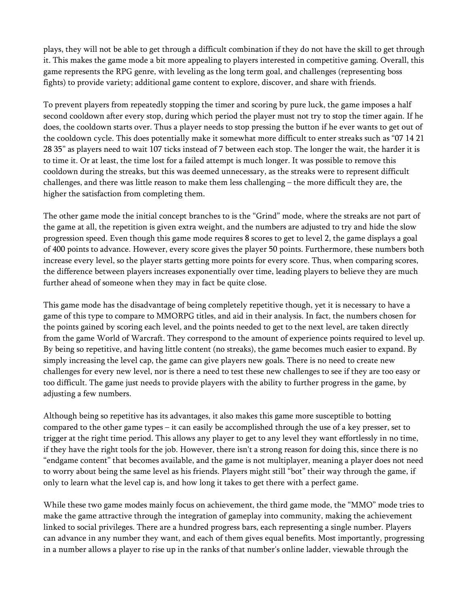plays, they will not be able to get through a difficult combination if they do not have the skill to get through it. This makes the game mode a bit more appealing to players interested in competitive gaming. Overall, this game represents the RPG genre, with leveling as the long term goal, and challenges (representing boss fights) to provide variety; additional game content to explore, discover, and share with friends.

To prevent players from repeatedly stopping the timer and scoring by pure luck, the game imposes a half second cooldown after every stop, during which period the player must not try to stop the timer again. If he does, the cooldown starts over. Thus a player needs to stop pressing the button if he ever wants to get out of the cooldown cycle. This does potentially make it somewhat more difficult to enter streaks such as "07 14 21 28 35" as players need to wait 107 ticks instead of 7 between each stop. The longer the wait, the harder it is to time it. Or at least, the time lost for a failed attempt is much longer. It was possible to remove this cooldown during the streaks, but this was deemed unnecessary, as the streaks were to represent difficult challenges, and there was little reason to make them less challenging – the more difficult they are, the higher the satisfaction from completing them.

The other game mode the initial concept branches to is the "Grind" mode, where the streaks are not part of the game at all, the repetition is given extra weight, and the numbers are adjusted to try and hide the slow progression speed. Even though this game mode requires 8 scores to get to level 2, the game displays a goal of 400 points to advance. However, every score gives the player 50 points. Furthermore, these numbers both increase every level, so the player starts getting more points for every score. Thus, when comparing scores, the difference between players increases exponentially over time, leading players to believe they are much further ahead of someone when they may in fact be quite close.

This game mode has the disadvantage of being completely repetitive though, yet it is necessary to have a game of this type to compare to MMORPG titles, and aid in their analysis. In fact, the numbers chosen for the points gained by scoring each level, and the points needed to get to the next level, are taken directly from the game World of Warcraft. They correspond to the amount of experience points required to level up. By being so repetitive, and having little content (no streaks), the game becomes much easier to expand. By simply increasing the level cap, the game can give players new goals. There is no need to create new challenges for every new level, nor is there a need to test these new challenges to see if they are too easy or too difficult. The game just needs to provide players with the ability to further progress in the game, by adjusting a few numbers.

Although being so repetitive has its advantages, it also makes this game more susceptible to botting compared to the other game types – it can easily be accomplished through the use of a key presser, set to trigger at the right time period. This allows any player to get to any level they want effortlessly in no time, if they have the right tools for the job. However, there isn't a strong reason for doing this, since there is no "endgame content" that becomes available, and the game is not multiplayer, meaning a player does not need to worry about being the same level as his friends. Players might still "bot" their way through the game, if only to learn what the level cap is, and how long it takes to get there with a perfect game.

While these two game modes mainly focus on achievement, the third game mode, the "MMO" mode tries to make the game attractive through the integration of gameplay into community, making the achievement linked to social privileges. There are a hundred progress bars, each representing a single number. Players can advance in any number they want, and each of them gives equal benefits. Most importantly, progressing in a number allows a player to rise up in the ranks of that number's online ladder, viewable through the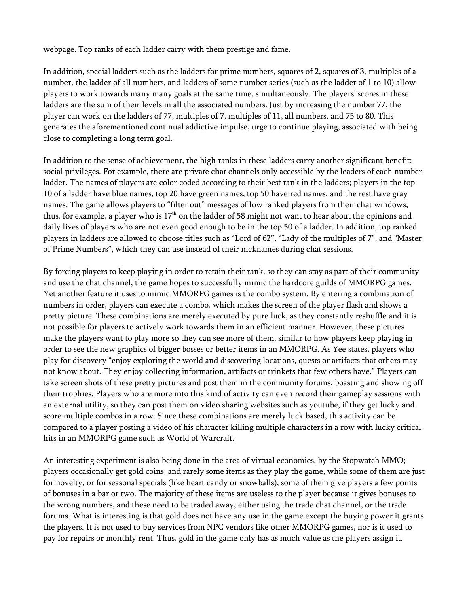webpage. Top ranks of each ladder carry with them prestige and fame.

In addition, special ladders such as the ladders for prime numbers, squares of 2, squares of 3, multiples of a number, the ladder of all numbers, and ladders of some number series (such as the ladder of 1 to 10) allow players to work towards many many goals at the same time, simultaneously. The players' scores in these ladders are the sum of their levels in all the associated numbers. Just by increasing the number 77, the player can work on the ladders of 77, multiples of 7, multiples of 11, all numbers, and 75 to 80. This generates the aforementioned continual addictive impulse, urge to continue playing, associated with being close to completing a long term goal.

In addition to the sense of achievement, the high ranks in these ladders carry another significant benefit: social privileges. For example, there are private chat channels only accessible by the leaders of each number ladder. The names of players are color coded according to their best rank in the ladders; players in the top 10 of a ladder have blue names, top 20 have green names, top 50 have red names, and the rest have gray names. The game allows players to "filter out" messages of low ranked players from their chat windows, thus, for example, a player who is  $17<sup>th</sup>$  on the ladder of 58 might not want to hear about the opinions and daily lives of players who are not even good enough to be in the top 50 of a ladder. In addition, top ranked players in ladders are allowed to choose titles such as "Lord of 62", "Lady of the multiples of 7", and "Master of Prime Numbers", which they can use instead of their nicknames during chat sessions.

By forcing players to keep playing in order to retain their rank, so they can stay as part of their community and use the chat channel, the game hopes to successfully mimic the hardcore guilds of MMORPG games. Yet another feature it uses to mimic MMORPG games is the combo system. By entering a combination of numbers in order, players can execute a combo, which makes the screen of the player flash and shows a pretty picture. These combinations are merely executed by pure luck, as they constantly reshuffle and it is not possible for players to actively work towards them in an efficient manner. However, these pictures make the players want to play more so they can see more of them, similar to how players keep playing in order to see the new graphics of bigger bosses or better items in an MMORPG. As Yee states, players who play for discovery "enjoy exploring the world and discovering locations, quests or artifacts that others may not know about. They enjoy collecting information, artifacts or trinkets that few others have." Players can take screen shots of these pretty pictures and post them in the community forums, boasting and showing off their trophies. Players who are more into this kind of activity can even record their gameplay sessions with an external utility, so they can post them on video sharing websites such as youtube, if they get lucky and score multiple combos in a row. Since these combinations are merely luck based, this activity can be compared to a player posting a video of his character killing multiple characters in a row with lucky critical hits in an MMORPG game such as World of Warcraft.

An interesting experiment is also being done in the area of virtual economies, by the Stopwatch MMO; players occasionally get gold coins, and rarely some items as they play the game, while some of them are just for novelty, or for seasonal specials (like heart candy or snowballs), some of them give players a few points of bonuses in a bar or two. The majority of these items are useless to the player because it gives bonuses to the wrong numbers, and these need to be traded away, either using the trade chat channel, or the trade forums. What is interesting is that gold does not have any use in the game except the buying power it grants the players. It is not used to buy services from NPC vendors like other MMORPG games, nor is it used to pay for repairs or monthly rent. Thus, gold in the game only has as much value as the players assign it.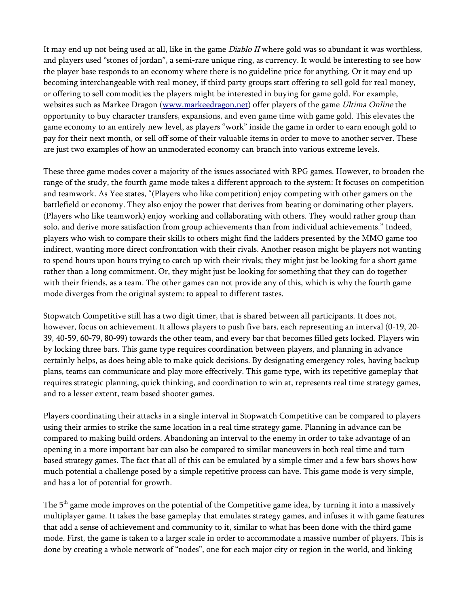It may end up not being used at all, like in the game *Diablo II* where gold was so abundant it was worthless, and players used "stones of jordan", a semi-rare unique ring, as currency. It would be interesting to see how the player base responds to an economy where there is no guideline price for anything. Or it may end up becoming interchangeable with real money, if third party groups start offering to sell gold for real money, or offering to sell commodities the players might be interested in buying for game gold. For example, websites such as Markee Dragon [\(www.markeedragon.net\)](http://www.markeedragon.net/) offer players of the game Ultima Online the opportunity to buy character transfers, expansions, and even game time with game gold. This elevates the game economy to an entirely new level, as players "work" inside the game in order to earn enough gold to pay for their next month, or sell off some of their valuable items in order to move to another server. These are just two examples of how an unmoderated economy can branch into various extreme levels.

These three game modes cover a majority of the issues associated with RPG games. However, to broaden the range of the study, the fourth game mode takes a different approach to the system: It focuses on competition and teamwork. As Yee states, "(Players who like competition) enjoy competing with other gamers on the battlefield or economy. They also enjoy the power that derives from beating or dominating other players. (Players who like teamwork) enjoy working and collaborating with others. They would rather group than solo, and derive more satisfaction from group achievements than from individual achievements." Indeed, players who wish to compare their skills to others might find the ladders presented by the MMO game too indirect, wanting more direct confrontation with their rivals. Another reason might be players not wanting to spend hours upon hours trying to catch up with their rivals; they might just be looking for a short game rather than a long commitment. Or, they might just be looking for something that they can do together with their friends, as a team. The other games can not provide any of this, which is why the fourth game mode diverges from the original system: to appeal to different tastes.

Stopwatch Competitive still has a two digit timer, that is shared between all participants. It does not, however, focus on achievement. It allows players to push five bars, each representing an interval (0-19, 20- 39, 40-59, 60-79, 80-99) towards the other team, and every bar that becomes filled gets locked. Players win by locking three bars. This game type requires coordination between players, and planning in advance certainly helps, as does being able to make quick decisions. By designating emergency roles, having backup plans, teams can communicate and play more effectively. This game type, with its repetitive gameplay that requires strategic planning, quick thinking, and coordination to win at, represents real time strategy games, and to a lesser extent, team based shooter games.

Players coordinating their attacks in a single interval in Stopwatch Competitive can be compared to players using their armies to strike the same location in a real time strategy game. Planning in advance can be compared to making build orders. Abandoning an interval to the enemy in order to take advantage of an opening in a more important bar can also be compared to similar maneuvers in both real time and turn based strategy games. The fact that all of this can be emulated by a simple timer and a few bars shows how much potential a challenge posed by a simple repetitive process can have. This game mode is very simple, and has a lot of potential for growth.

The 5<sup>th</sup> game mode improves on the potential of the Competitive game idea, by turning it into a massively multiplayer game. It takes the base gameplay that emulates strategy games, and infuses it with game features that add a sense of achievement and community to it, similar to what has been done with the third game mode. First, the game is taken to a larger scale in order to accommodate a massive number of players. This is done by creating a whole network of "nodes", one for each major city or region in the world, and linking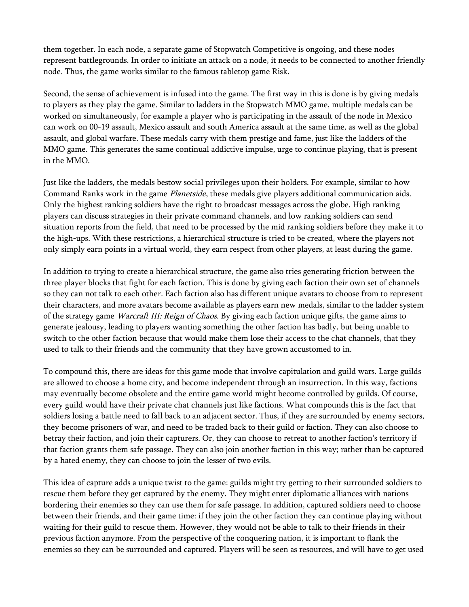them together. In each node, a separate game of Stopwatch Competitive is ongoing, and these nodes represent battlegrounds. In order to initiate an attack on a node, it needs to be connected to another friendly node. Thus, the game works similar to the famous tabletop game Risk.

Second, the sense of achievement is infused into the game. The first way in this is done is by giving medals to players as they play the game. Similar to ladders in the Stopwatch MMO game, multiple medals can be worked on simultaneously, for example a player who is participating in the assault of the node in Mexico can work on 00-19 assault, Mexico assault and south America assault at the same time, as well as the global assault, and global warfare. These medals carry with them prestige and fame, just like the ladders of the MMO game. This generates the same continual addictive impulse, urge to continue playing, that is present in the MMO.

Just like the ladders, the medals bestow social privileges upon their holders. For example, similar to how Command Ranks work in the game Planetside, these medals give players additional communication aids. Only the highest ranking soldiers have the right to broadcast messages across the globe. High ranking players can discuss strategies in their private command channels, and low ranking soldiers can send situation reports from the field, that need to be processed by the mid ranking soldiers before they make it to the high-ups. With these restrictions, a hierarchical structure is tried to be created, where the players not only simply earn points in a virtual world, they earn respect from other players, at least during the game.

In addition to trying to create a hierarchical structure, the game also tries generating friction between the three player blocks that fight for each faction. This is done by giving each faction their own set of channels so they can not talk to each other. Each faction also has different unique avatars to choose from to represent their characters, and more avatars become available as players earn new medals, similar to the ladder system of the strategy game Warcraft III: Reign of Chaos. By giving each faction unique gifts, the game aims to generate jealousy, leading to players wanting something the other faction has badly, but being unable to switch to the other faction because that would make them lose their access to the chat channels, that they used to talk to their friends and the community that they have grown accustomed to in.

To compound this, there are ideas for this game mode that involve capitulation and guild wars. Large guilds are allowed to choose a home city, and become independent through an insurrection. In this way, factions may eventually become obsolete and the entire game world might become controlled by guilds. Of course, every guild would have their private chat channels just like factions. What compounds this is the fact that soldiers losing a battle need to fall back to an adjacent sector. Thus, if they are surrounded by enemy sectors, they become prisoners of war, and need to be traded back to their guild or faction. They can also choose to betray their faction, and join their capturers. Or, they can choose to retreat to another faction's territory if that faction grants them safe passage. They can also join another faction in this way; rather than be captured by a hated enemy, they can choose to join the lesser of two evils.

This idea of capture adds a unique twist to the game: guilds might try getting to their surrounded soldiers to rescue them before they get captured by the enemy. They might enter diplomatic alliances with nations bordering their enemies so they can use them for safe passage. In addition, captured soldiers need to choose between their friends, and their game time: if they join the other faction they can continue playing without waiting for their guild to rescue them. However, they would not be able to talk to their friends in their previous faction anymore. From the perspective of the conquering nation, it is important to flank the enemies so they can be surrounded and captured. Players will be seen as resources, and will have to get used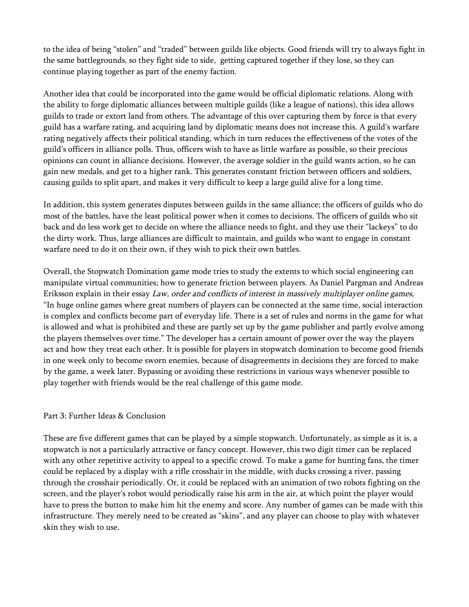to the idea of being "stolen" and "traded" between guilds like objects. Good friends will try to always fight in the same battlegrounds, so they fight side to side, getting captured together if they lose, so they can continue playing together as part of the enemy faction.

Another idea that could be incorporated into the game would be official diplomatic relations. Along with the ability to forge diplomatic alliances between multiple guilds (like a league of nations), this idea allows guilds to trade or extort land from others. The advantage of this over capturing them by force is that every guild has a warfare rating, and acquiring land by diplomatic means does not increase this. A guild's warfare rating negatively affects their political standing, which in turn reduces the effectiveness of the votes of the guild's officers in alliance polls. Thus, officers wish to have as little warfare as possible, so their precious opinions can count in alliance decisions. However, the average soldier in the guild wants action, so he can gain new medals, and get to a higher rank. This generates constant friction between officers and soldiers, causing guilds to split apart, and makes it very difficult to keep a large guild alive for a long time.

In addition, this system generates disputes between guilds in the same alliance; the officers of guilds who do most of the battles, have the least political power when it comes to decisions. The officers of guilds who sit back and do less work get to decide on where the alliance needs to fight, and they use their "lackeys" to do the dirty work. Thus, large alliances are difficult to maintain, and guilds who want to engage in constant warfare need to do it on their own, if they wish to pick their own battles.

Overall, the Stopwatch Domination game mode tries to study the extents to which social engineering can manipulate virtual communities; how to generate friction between players. As Daniel Pargman and Andreas Eriksson explain in their essay Law, order and conflicts of interest in massively multiplayer online games, "In huge online games where great numbers of players can be connected at the same time, social interaction is complex and conflicts become part of everyday life. There is a set of rules and norms in the game for what is allowed and what is prohibited and these are partly set up by the game publisher and partly evolve among the players themselves over time." The developer has a certain amount of power over the way the players act and how they treat each other. It is possible for players in stopwatch domination to become good friends in one week only to become sworn enemies, because of disagreements in decisions they are forced to make by the game, a week later. Bypassing or avoiding these restrictions in various ways whenever possible to play together with friends would be the real challenge of this game mode.

## Part 3: Further Ideas & Conclusion

These are five different games that can be played by a simple stopwatch. Unfortunately, as simple as it is, a stopwatch is not a particularly attractive or fancy concept. However, this two digit timer can be replaced with any other repetitive activity to appeal to a specific crowd. To make a game for hunting fans, the timer could be replaced by a display with a rifle crosshair in the middle, with ducks crossing a river, passing through the crosshair periodically. Or, it could be replaced with an animation of two robots fighting on the screen, and the player's robot would periodically raise his arm in the air, at which point the player would have to press the button to make him hit the enemy and score. Any number of games can be made with this infrastructure. They merely need to be created as "skins", and any player can choose to play with whatever skin they wish to use.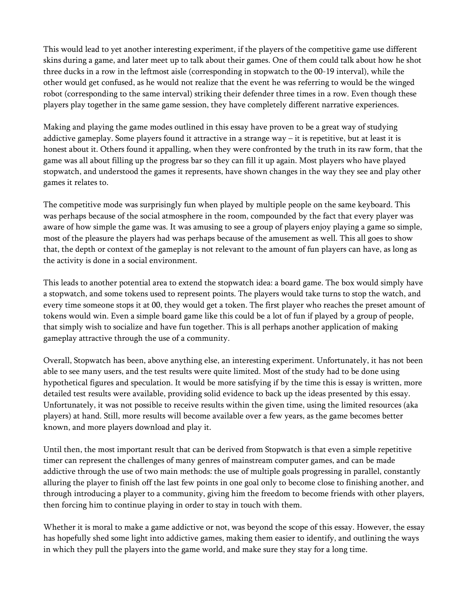This would lead to yet another interesting experiment, if the players of the competitive game use different skins during a game, and later meet up to talk about their games. One of them could talk about how he shot three ducks in a row in the leftmost aisle (corresponding in stopwatch to the 00-19 interval), while the other would get confused, as he would not realize that the event he was referring to would be the winged robot (corresponding to the same interval) striking their defender three times in a row. Even though these players play together in the same game session, they have completely different narrative experiences.

Making and playing the game modes outlined in this essay have proven to be a great way of studying addictive gameplay. Some players found it attractive in a strange way – it is repetitive, but at least it is honest about it. Others found it appalling, when they were confronted by the truth in its raw form, that the game was all about filling up the progress bar so they can fill it up again. Most players who have played stopwatch, and understood the games it represents, have shown changes in the way they see and play other games it relates to.

The competitive mode was surprisingly fun when played by multiple people on the same keyboard. This was perhaps because of the social atmosphere in the room, compounded by the fact that every player was aware of how simple the game was. It was amusing to see a group of players enjoy playing a game so simple, most of the pleasure the players had was perhaps because of the amusement as well. This all goes to show that, the depth or context of the gameplay is not relevant to the amount of fun players can have, as long as the activity is done in a social environment.

This leads to another potential area to extend the stopwatch idea: a board game. The box would simply have a stopwatch, and some tokens used to represent points. The players would take turns to stop the watch, and every time someone stops it at 00, they would get a token. The first player who reaches the preset amount of tokens would win. Even a simple board game like this could be a lot of fun if played by a group of people, that simply wish to socialize and have fun together. This is all perhaps another application of making gameplay attractive through the use of a community.

Overall, Stopwatch has been, above anything else, an interesting experiment. Unfortunately, it has not been able to see many users, and the test results were quite limited. Most of the study had to be done using hypothetical figures and speculation. It would be more satisfying if by the time this is essay is written, more detailed test results were available, providing solid evidence to back up the ideas presented by this essay. Unfortunately, it was not possible to receive results within the given time, using the limited resources (aka players) at hand. Still, more results will become available over a few years, as the game becomes better known, and more players download and play it.

Until then, the most important result that can be derived from Stopwatch is that even a simple repetitive timer can represent the challenges of many genres of mainstream computer games, and can be made addictive through the use of two main methods: the use of multiple goals progressing in parallel, constantly alluring the player to finish off the last few points in one goal only to become close to finishing another, and through introducing a player to a community, giving him the freedom to become friends with other players, then forcing him to continue playing in order to stay in touch with them.

Whether it is moral to make a game addictive or not, was beyond the scope of this essay. However, the essay has hopefully shed some light into addictive games, making them easier to identify, and outlining the ways in which they pull the players into the game world, and make sure they stay for a long time.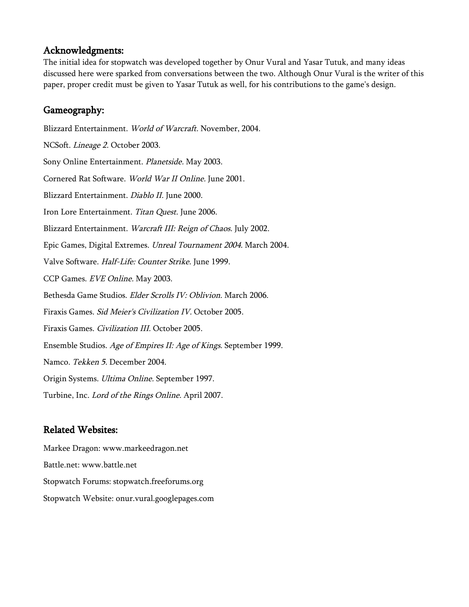## Acknowledgments:

The initial idea for stopwatch was developed together by Onur Vural and Yasar Tutuk, and many ideas discussed here were sparked from conversations between the two. Although Onur Vural is the writer of this paper, proper credit must be given to Yasar Tutuk as well, for his contributions to the game's design.

## Gameography:

Blizzard Entertainment. World of Warcraft. November, 2004. NCSoft. Lineage 2. October 2003. Sony Online Entertainment. Planetside. May 2003. Cornered Rat Software. World War II Online. June 2001. Blizzard Entertainment. Diablo II. June 2000. Iron Lore Entertainment. Titan Quest. June 2006. Blizzard Entertainment. Warcraft III: Reign of Chaos. July 2002. Epic Games, Digital Extremes. Unreal Tournament 2004. March 2004. Valve Software. Half-Life: Counter Strike. June 1999. CCP Games. EVE Online. May 2003. Bethesda Game Studios. Elder Scrolls IV: Oblivion. March 2006. Firaxis Games. Sid Meier's Civilization IV. October 2005. Firaxis Games. Civilization III. October 2005. Ensemble Studios. Age of Empires II: Age of Kings. September 1999. Namco. Tekken 5. December 2004. Origin Systems. Ultima Online. September 1997. Turbine, Inc. Lord of the Rings Online. April 2007.

# Related Websites:

Markee Dragon: [www.markeedragon.net](http://www.markeedragon.net/) Battle.net: [www.battle.net](http://www.battle.net/) Stopwatch Forums: stopwatch.freeforums.org Stopwatch Website: onur.vural.googlepages.com